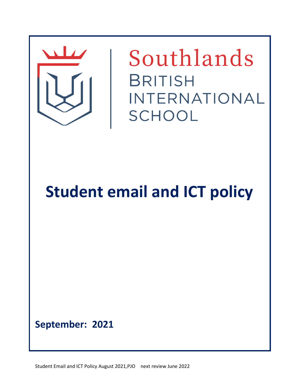

Southlands **BRITISH** INTERNATIONAL SCHOOL

**Student email and ICT policy**

**September: 2021**

Student Email and ICT Policy August 2021,PJO next review June 2022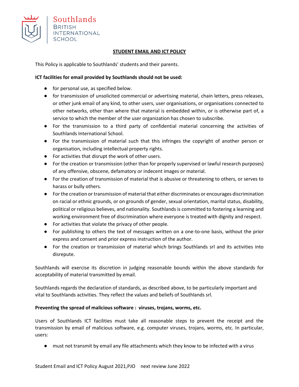

## **STUDENT EMAIL AND ICT POLICY**

This Policy is applicable to Southlands' students and their parents.

# **ICT facilities for email provided by Southlands should not be used:**

- for personal use, as specified below.
- for transmission of unsolicited commercial or advertising material, chain letters, press releases, or other junk email of any kind, to other users, user organisations, or organisations connected to other networks, other than where that material is embedded within, or is otherwise part of, a service to which the member of the user organization has chosen to subscribe.
- For the transmission to a third party of confidential material concerning the activities of Southlands International School.
- For the transmission of material such that this infringes the copyright of another person or organisation, including intellectual property rights.
- For activities that disrupt the work of other users.
- For the creation or transmission (other than for properly supervised or lawful research purposes) of any offensive, obscene, defamatory or indecent images or material.
- For the creation of transmission of material that is abusive or threatening to others, or serves to harass or bully others.
- For the creation or transmission of material that either discriminates or encourages discrimination on racial or ethnic grounds, or on grounds of gender, sexual orientation, marital status, disability, political or religious believes, and nationality. Southlands is committed to fostering a learning and working environment free of discrimination where everyone is treated with dignity and respect.
- For activities that violate the privacy of other people.
- For publishing to others the text of messages written on a one-to-one basis, without the prior express and consent and prior express instruction of the author.
- For the creation or transmission of material which brings Southlands srl and its activities into disrepute.

Southlands will exercise its discretion in judging reasonable bounds within the above standards for acceptability of material transmitted by email.

Southlands regards the declaration of standards, as described above, to be particularly important and vital to Southlands activities. They reflect the values and beliefs of Southlands srl.

## **Preventing the spread of malicious software : viruses, trojans, worms, etc.**

Users of Southlands ICT facilities must take all reasonable steps to prevent the receipt and the transmission by email of malicious software, e.g. computer viruses, trojans, worms, etc. In particular, users:

● must not transmit by email any file attachments which they know to be infected with a virus